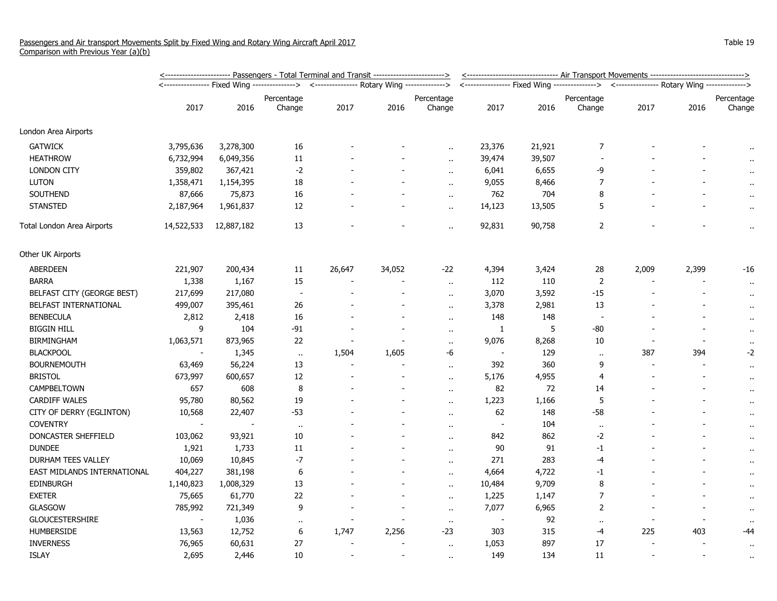|                             | ---------------------- Passengers - Total Terminal and Transit -----------------------> |                          |                                                                                           |                |        |                      |                          | <------------------------------ Air Transport Movements ------------------------------> |                          |                                                                                            |                          |                      |  |
|-----------------------------|-----------------------------------------------------------------------------------------|--------------------------|-------------------------------------------------------------------------------------------|----------------|--------|----------------------|--------------------------|-----------------------------------------------------------------------------------------|--------------------------|--------------------------------------------------------------------------------------------|--------------------------|----------------------|--|
|                             |                                                                                         |                          | <---------------- Fixed Wing --------------> <---------------- Rotary Wing -------------> |                |        |                      |                          |                                                                                         |                          | <---------------- Fixed Wing ---------------> <--------------- Rotary Wing --------------> |                          |                      |  |
|                             | 2017                                                                                    | 2016                     | Percentage<br>Change                                                                      | 2017           | 2016   | Percentage<br>Change | 2017                     | 2016                                                                                    | Percentage<br>Change     | 2017                                                                                       | 2016                     | Percentage<br>Change |  |
| London Area Airports        |                                                                                         |                          |                                                                                           |                |        |                      |                          |                                                                                         |                          |                                                                                            |                          |                      |  |
| <b>GATWICK</b>              | 3,795,636                                                                               | 3,278,300                | $16\,$                                                                                    |                |        | $\ddot{\phantom{a}}$ | 23,376                   | 21,921                                                                                  | 7                        |                                                                                            |                          | $\bullet$            |  |
| <b>HEATHROW</b>             | 6,732,994                                                                               | 6,049,356                | 11                                                                                        |                |        | $\ddotsc$            | 39,474                   | 39,507                                                                                  |                          |                                                                                            |                          | $\sim$               |  |
| <b>LONDON CITY</b>          | 359,802                                                                                 | 367,421                  | $-2$                                                                                      |                |        | $\ddot{\phantom{a}}$ | 6,041                    | 6,655                                                                                   | -9                       |                                                                                            |                          |                      |  |
| <b>LUTON</b>                | 1,358,471                                                                               | 1,154,395                | $18\,$                                                                                    |                |        | $\ddot{\phantom{a}}$ | 9,055                    | 8,466                                                                                   | $\overline{7}$           |                                                                                            |                          |                      |  |
| <b>SOUTHEND</b>             | 87,666                                                                                  | 75,873                   | 16                                                                                        |                |        | $\sim$               | 762                      | 704                                                                                     | 8                        |                                                                                            |                          | $\sim$               |  |
| <b>STANSTED</b>             | 2,187,964                                                                               | 1,961,837                | 12                                                                                        |                |        | $\mathbf{r}$ .       | 14,123                   | 13,505                                                                                  | 5                        |                                                                                            |                          | $\bar{\phantom{a}}$  |  |
| Total London Area Airports  | 14,522,533                                                                              | 12,887,182               | 13                                                                                        |                |        | $\alpha$             | 92,831                   | 90,758                                                                                  | $\overline{2}$           |                                                                                            |                          | $\alpha$             |  |
| Other UK Airports           |                                                                                         |                          |                                                                                           |                |        |                      |                          |                                                                                         |                          |                                                                                            |                          |                      |  |
| <b>ABERDEEN</b>             | 221,907                                                                                 | 200,434                  | 11                                                                                        | 26,647         | 34,052 | $-22$                | 4,394                    | 3,424                                                                                   | 28                       | 2,009                                                                                      | 2,399                    | -16                  |  |
| <b>BARRA</b>                | 1,338                                                                                   | 1,167                    | 15                                                                                        |                |        | $\alpha$ .           | 112                      | 110                                                                                     | 2                        |                                                                                            |                          | $\bullet$            |  |
| BELFAST CITY (GEORGE BEST)  | 217,699                                                                                 | 217,080                  | $\overline{\phantom{a}}$                                                                  |                |        | $\ddot{\phantom{a}}$ | 3,070                    | 3,592                                                                                   | $-15$                    |                                                                                            |                          | $\alpha$             |  |
| BELFAST INTERNATIONAL       | 499,007                                                                                 | 395,461                  | 26                                                                                        |                |        | $\ddotsc$            | 3,378                    | 2,981                                                                                   | 13                       |                                                                                            |                          | $\bullet$ .          |  |
| <b>BENBECULA</b>            | 2,812                                                                                   | 2,418                    | 16                                                                                        |                |        | $\ddot{\phantom{1}}$ | 148                      | 148                                                                                     | $\overline{\phantom{a}}$ |                                                                                            |                          | $\bullet$            |  |
| <b>BIGGIN HILL</b>          | 9                                                                                       | 104                      | $-91$                                                                                     |                |        | $\ddot{\phantom{a}}$ | 1                        | 5                                                                                       | $-80$                    |                                                                                            |                          | $\bullet$ .          |  |
| <b>BIRMINGHAM</b>           | 1,063,571                                                                               | 873,965                  | 22                                                                                        |                |        | $\sim$               | 9,076                    | 8,268                                                                                   | 10                       |                                                                                            |                          | $\bullet$            |  |
| <b>BLACKPOOL</b>            |                                                                                         | 1,345                    | $\bullet$                                                                                 | 1,504          | 1,605  | -6                   | $\overline{\phantom{a}}$ | 129                                                                                     | $\alpha$                 | 387                                                                                        | 394                      | $-2$                 |  |
| <b>BOURNEMOUTH</b>          | 63,469                                                                                  | 56,224                   | 13                                                                                        | $\blacksquare$ |        | $\ddot{\phantom{a}}$ | 392                      | 360                                                                                     | 9                        | $\overline{\phantom{a}}$                                                                   |                          | $\alpha$             |  |
| <b>BRISTOL</b>              | 673,997                                                                                 | 600,657                  | 12                                                                                        |                |        | $\bullet$ .          | 5,176                    | 4,955                                                                                   | $\overline{4}$           |                                                                                            |                          | $\cdot$              |  |
| CAMPBELTOWN                 | 657                                                                                     | 608                      | $\,8\,$                                                                                   |                |        | $\ddot{\phantom{1}}$ | 82                       | 72                                                                                      | 14                       |                                                                                            |                          | $\bullet$            |  |
| CARDIFF WALES               | 95,780                                                                                  | 80,562                   | 19                                                                                        |                |        | $\ddot{\phantom{a}}$ | 1,223                    | 1,166                                                                                   | 5                        |                                                                                            |                          | $\bullet$            |  |
| CITY OF DERRY (EGLINTON)    | 10,568                                                                                  | 22,407                   | $-53$                                                                                     |                |        | $\ddot{\phantom{1}}$ | 62                       | 148                                                                                     | $-58$                    |                                                                                            |                          | $\alpha$             |  |
| <b>COVENTRY</b>             | $\sim$                                                                                  | $\overline{\phantom{a}}$ | $\bullet\bullet$                                                                          |                |        | $\ddot{\phantom{1}}$ | $\overline{\phantom{a}}$ | 104                                                                                     | $\ddot{\phantom{a}}$     |                                                                                            |                          | $\bar{\phantom{a}}$  |  |
| DONCASTER SHEFFIELD         | 103,062                                                                                 | 93,921                   | $10\,$                                                                                    |                |        | $\ddot{\phantom{a}}$ | 842                      | 862                                                                                     | $-2$                     |                                                                                            |                          | $\mathbf{u}$         |  |
| <b>DUNDEE</b>               | 1,921                                                                                   | 1,733                    | 11                                                                                        |                |        | $\sim$               | 90                       | 91                                                                                      | $-1$                     |                                                                                            |                          | $\bullet$            |  |
| DURHAM TEES VALLEY          | 10,069                                                                                  | 10,845                   | $-7$                                                                                      |                |        | $\ddot{\phantom{1}}$ | 271                      | 283                                                                                     | -4                       |                                                                                            |                          | $\bullet$            |  |
| EAST MIDLANDS INTERNATIONAL | 404,227                                                                                 | 381,198                  | 6                                                                                         |                |        | $\ddot{\phantom{1}}$ | 4,664                    | 4,722                                                                                   | $-1$                     |                                                                                            |                          | $\bullet$ .          |  |
| EDINBURGH                   | 1,140,823                                                                               | 1,008,329                | 13                                                                                        |                |        | $\ddot{\phantom{a}}$ | 10,484                   | 9,709                                                                                   | 8                        |                                                                                            |                          | $\alpha$             |  |
| <b>EXETER</b>               | 75,665                                                                                  | 61,770                   | 22                                                                                        |                |        | $\ddot{\phantom{1}}$ | 1,225                    | 1,147                                                                                   | $\overline{7}$           |                                                                                            |                          | $\bullet$            |  |
| <b>GLASGOW</b>              | 785,992                                                                                 | 721,349                  | 9                                                                                         |                |        | $\ddot{\phantom{a}}$ | 7,077                    | 6,965                                                                                   | $\overline{2}$           |                                                                                            |                          | $\cdots$             |  |
| <b>GLOUCESTERSHIRE</b>      |                                                                                         | 1,036                    | $\mathbf{H}$                                                                              |                |        | $\sim$               | $\overline{\phantom{a}}$ | 92                                                                                      | $\ddot{\phantom{1}}$     |                                                                                            | $\overline{\phantom{a}}$ | $\bullet$            |  |
| HUMBERSIDE                  | 13,563                                                                                  | 12,752                   | 6                                                                                         | 1,747          | 2,256  | $-23$                | 303                      | 315                                                                                     | $-4$                     | 225                                                                                        | 403                      | -44                  |  |
| <b>INVERNESS</b>            | 76,965                                                                                  | 60,631                   | 27                                                                                        |                |        | $\ddot{\phantom{1}}$ | 1,053                    | 897                                                                                     | 17                       |                                                                                            |                          | $\bullet$ .          |  |
| <b>ISLAY</b>                | 2,695                                                                                   | 2,446                    | 10                                                                                        |                |        | $\ddot{\phantom{1}}$ | 149                      | 134                                                                                     | 11                       |                                                                                            | $\overline{\phantom{a}}$ |                      |  |